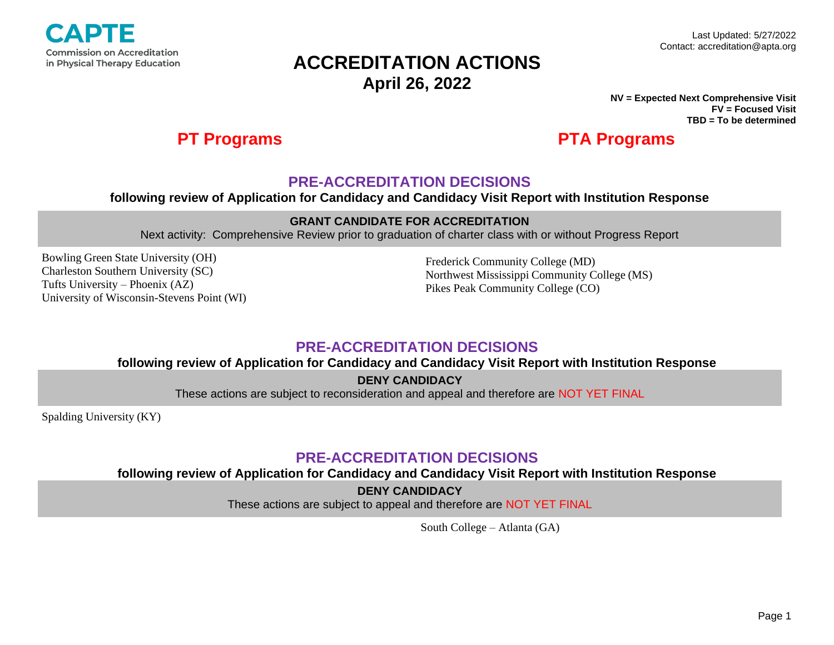

#### **NV = Expected Next Comprehensive Visit FV = Focused Visit TBD = To be determined**

## **PT Programs PTA Programs**

## **PRE-ACCREDITATION DECISIONS**

### **following review of Application for Candidacy and Candidacy Visit Report with Institution Response**

### **GRANT CANDIDATE FOR ACCREDITATION**

Next activity: Comprehensive Review prior to graduation of charter class with or without Progress Report

Bowling Green State University (OH) Charleston Southern University (SC) Tufts University – Phoenix (AZ) University of Wisconsin-Stevens Point (WI)

Frederick Community College (MD) Northwest Mississippi Community College (MS) Pikes Peak Community College (CO)

## **PRE-ACCREDITATION DECISIONS**

**following review of Application for Candidacy and Candidacy Visit Report with Institution Response**

**DENY CANDIDACY** 

These actions are subject to reconsideration and appeal and therefore are NOT YET FINAL

Spalding University (KY)

## **PRE-ACCREDITATION DECISIONS**

**following review of Application for Candidacy and Candidacy Visit Report with Institution Response**

**DENY CANDIDACY** 

These actions are subject to appeal and therefore are NOT YET FINAL

South College – Atlanta (GA)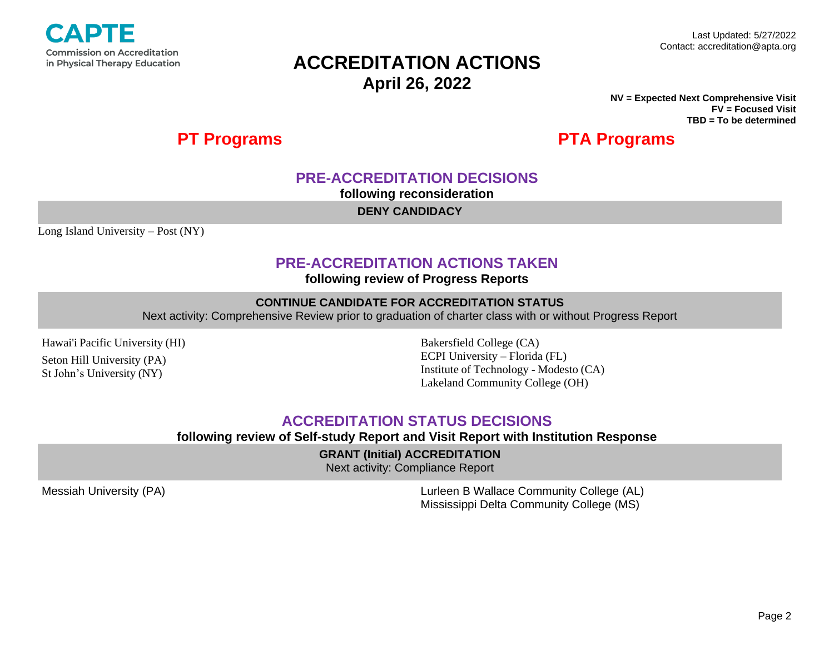

**NV = Expected Next Comprehensive Visit FV = Focused Visit TBD = To be determined**

## **PT Programs PTA Programs**

## **PRE-ACCREDITATION DECISIONS**

**following reconsideration**

**DENY CANDIDACY** 

Long Island University – Post (NY)

## **PRE-ACCREDITATION ACTIONS TAKEN**

**following review of Progress Reports**

### **CONTINUE CANDIDATE FOR ACCREDITATION STATUS**

Next activity: Comprehensive Review prior to graduation of charter class with or without Progress Report

Hawai'i Pacific University (HI)

Seton Hill University (PA) St John's University (NY)

Bakersfield College (CA) ECPI University – Florida (FL) Institute of Technology - Modesto (CA) Lakeland Community College (OH)

## **ACCREDITATION STATUS DECISIONS**

### **following review of Self-study Report and Visit Report with Institution Response**

**GRANT (Initial) ACCREDITATION**

Next activity: Compliance Report

Messiah University (PA) Lurleen B Wallace Community College (AL) Mississippi Delta Community College (MS)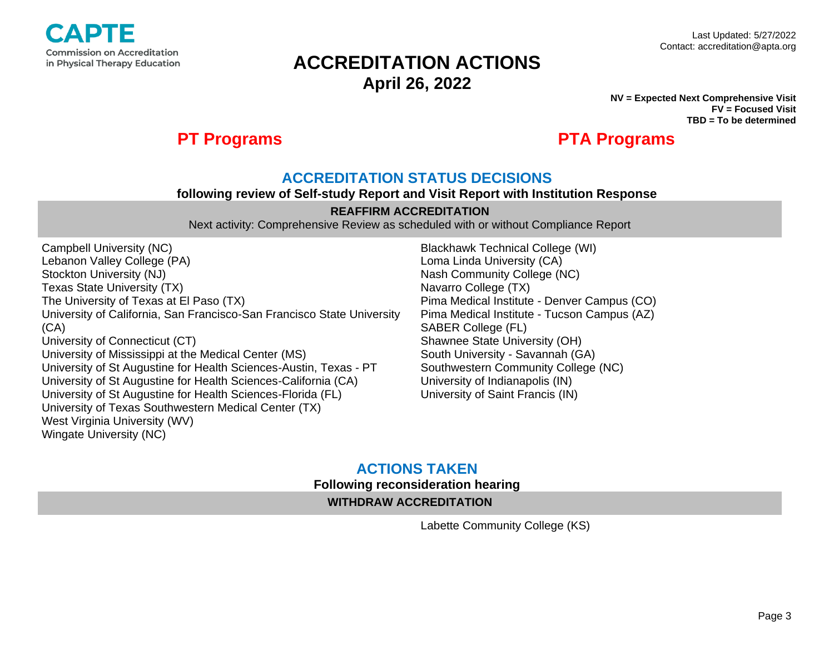

**NV = Expected Next Comprehensive Visit FV = Focused Visit TBD = To be determined**

## **PT Programs PTA Programs**

## **ACCREDITATION STATUS DECISIONS**

#### **following review of Self-study Report and Visit Report with Institution Response**

### **REAFFIRM ACCREDITATION**

Next activity: Comprehensive Review as scheduled with or without Compliance Report

Campbell University (NC) Lebanon Valley College (PA) Stockton University (NJ) Texas State University (TX) The University of Texas at El Paso (TX) University of California, San Francisco-San Francisco State University (CA) University of Connecticut (CT) University of Mississippi at the Medical Center (MS) University of St Augustine for Health Sciences-Austin, Texas - PT University of St Augustine for Health Sciences-California (CA) University of St Augustine for Health Sciences-Florida (FL) University of Texas Southwestern Medical Center (TX) West Virginia University (WV) Wingate University (NC)

Blackhawk Technical College (WI) Loma Linda University (CA) Nash Community College (NC) Navarro College (TX) Pima Medical Institute - Denver Campus (CO) Pima Medical Institute - Tucson Campus (AZ) SABER College (FL) Shawnee State University (OH) South University - Savannah (GA) Southwestern Community College (NC) University of Indianapolis (IN) University of Saint Francis (IN)

## **ACTIONS TAKEN Following reconsideration hearing WITHDRAW ACCREDITATION**

Labette Community College (KS)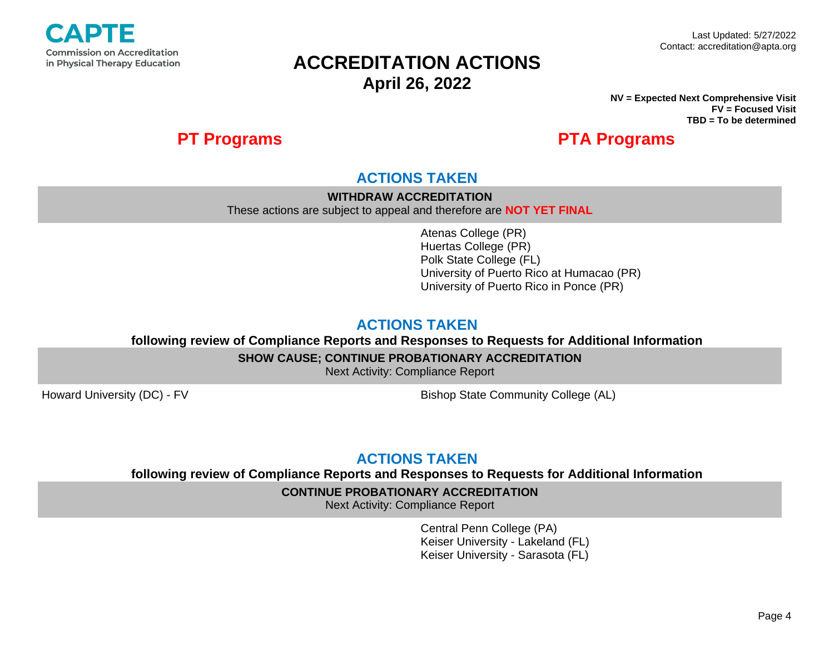

**NV = Expected Next Comprehensive Visit FV = Focused Visit TBD = To be determined**

## **PT Programs PTA Programs**

## **ACTIONS TAKEN**

**WITHDRAW ACCREDITATION**

These actions are subject to appeal and therefore are **NOT YET FINAL**

Atenas College (PR) Huertas College (PR) Polk State College (FL) University of Puerto Rico at Humacao (PR) University of Puerto Rico in Ponce (PR)

## **ACTIONS TAKEN**

**following review of Compliance Reports and Responses to Requests for Additional Information**

**SHOW CAUSE; CONTINUE PROBATIONARY ACCREDITATION**

Next Activity: Compliance Report

Howard University (DC) - FV Bishop State Community College (AL)

## **ACTIONS TAKEN**

**following review of Compliance Reports and Responses to Requests for Additional Information**

### **CONTINUE PROBATIONARY ACCREDITATION**

Next Activity: Compliance Report

Central Penn College (PA) Keiser University - Lakeland (FL) Keiser University - Sarasota (FL)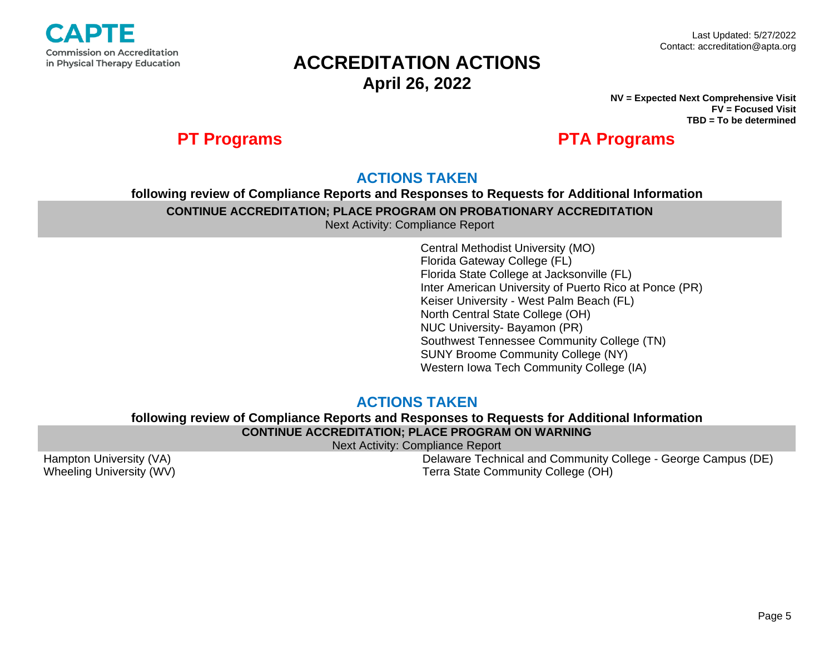

**NV = Expected Next Comprehensive Visit FV = Focused Visit TBD = To be determined**

## **PT Programs PTA Programs**

## **ACTIONS TAKEN**

## **following review of Compliance Reports and Responses to Requests for Additional Information CONTINUE ACCREDITATION; PLACE PROGRAM ON PROBATIONARY ACCREDITATION**

Next Activity: Compliance Report

Central Methodist University (MO) Florida Gateway College (FL) Florida State College at Jacksonville (FL) Inter American University of Puerto Rico at Ponce (PR) Keiser University - West Palm Beach (FL) North Central State College (OH) NUC University- Bayamon (PR) Southwest Tennessee Community College (TN) SUNY Broome Community College (NY) Western Iowa Tech Community College (IA)

## **ACTIONS TAKEN**

### **following review of Compliance Reports and Responses to Requests for Additional Information CONTINUE ACCREDITATION; PLACE PROGRAM ON WARNING**

Next Activity: Compliance Report

Hampton University (VA) Wheeling University (WV)

Delaware Technical and Community College - George Campus (DE) Terra State Community College (OH)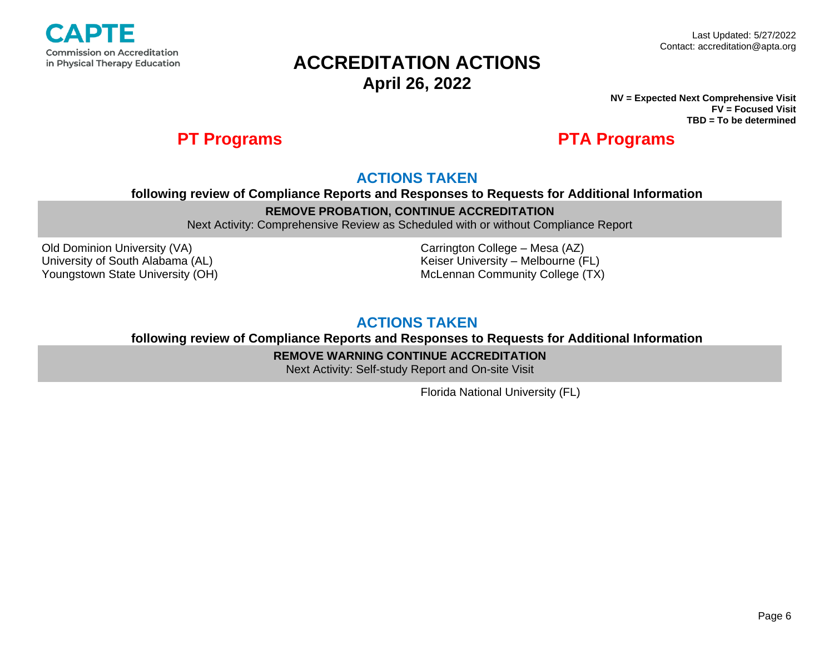

**NV = Expected Next Comprehensive Visit FV = Focused Visit TBD = To be determined**

## **PT Programs PTA Programs**

## **ACTIONS TAKEN**

**following review of Compliance Reports and Responses to Requests for Additional Information**

### **REMOVE PROBATION, CONTINUE ACCREDITATION**

Next Activity: Comprehensive Review as Scheduled with or without Compliance Report

Old Dominion University (VA) University of South Alabama (AL) Youngstown State University (OH) Carrington College – Mesa (AZ) Keiser University – Melbourne (FL) McLennan Community College (TX)

## **ACTIONS TAKEN**

**following review of Compliance Reports and Responses to Requests for Additional Information**

**REMOVE WARNING CONTINUE ACCREDITATION**

Next Activity: Self-study Report and On-site Visit

Florida National University (FL)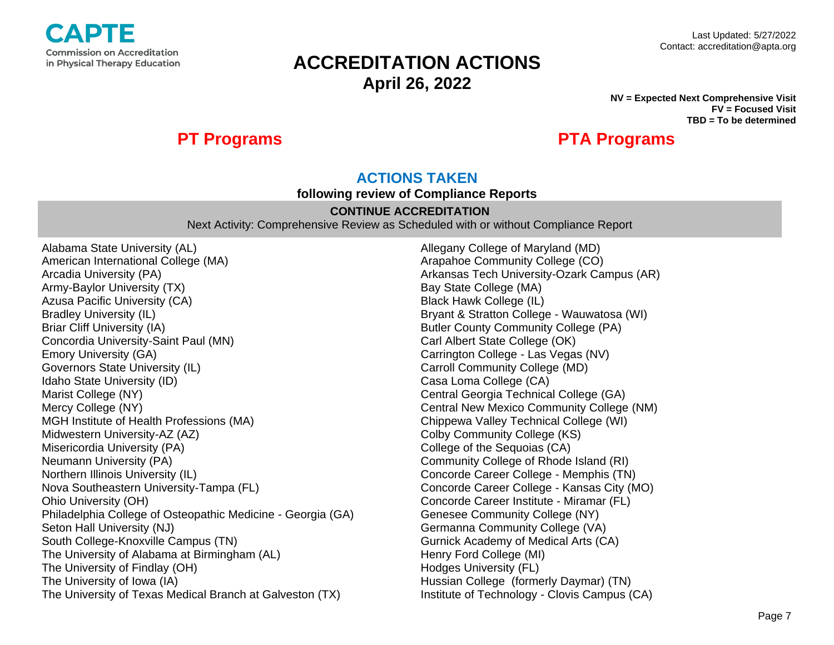

#### **NV = Expected Next Comprehensive Visit FV = Focused Visit TBD = To be determined**

## **PT Programs PTA Programs**

## **ACTIONS TAKEN**

**following review of Compliance Reports** 

### **CONTINUE ACCREDITATION**

Next Activity: Comprehensive Review as Scheduled with or without Compliance Report

Alabama State University (AL) American International College (MA) Arcadia University (PA) Army-Baylor University (TX) Azusa Pacific University (CA) Bradley University (IL) Briar Cliff University (IA) Concordia University-Saint Paul (MN) Emory University (GA) Governors State University (IL) Idaho State University (ID) Marist College (NY) Mercy College (NY) MGH Institute of Health Professions (MA) Midwestern University-AZ (AZ) Misericordia University (PA) Neumann University (PA) Northern Illinois University (IL) Nova Southeastern University-Tampa (FL) Ohio University (OH) Philadelphia College of Osteopathic Medicine - Georgia (GA) Seton Hall University (NJ) South College-Knoxville Campus (TN) The University of Alabama at Birmingham (AL) The University of Findlay (OH) The University of Iowa (IA) The University of Texas Medical Branch at Galveston (TX)

Allegany College of Maryland (MD) Arapahoe Community College (CO) Arkansas Tech University-Ozark Campus (AR) Bay State College (MA) Black Hawk College (IL) Bryant & Stratton College - Wauwatosa (WI) Butler County Community College (PA) Carl Albert State College (OK) Carrington College - Las Vegas (NV) Carroll Community College (MD) Casa Loma College (CA) Central Georgia Technical College (GA) Central New Mexico Community College (NM) Chippewa Valley Technical College (WI) Colby Community College (KS) College of the Sequoias (CA) Community College of Rhode Island (RI) Concorde Career College - Memphis (TN) Concorde Career College - Kansas City (MO) Concorde Career Institute - Miramar (FL) Genesee Community College (NY) Germanna Community College (VA) Gurnick Academy of Medical Arts (CA) Henry Ford College (MI) Hodges University (FL) Hussian College (formerly Daymar) (TN) Institute of Technology - Clovis Campus (CA)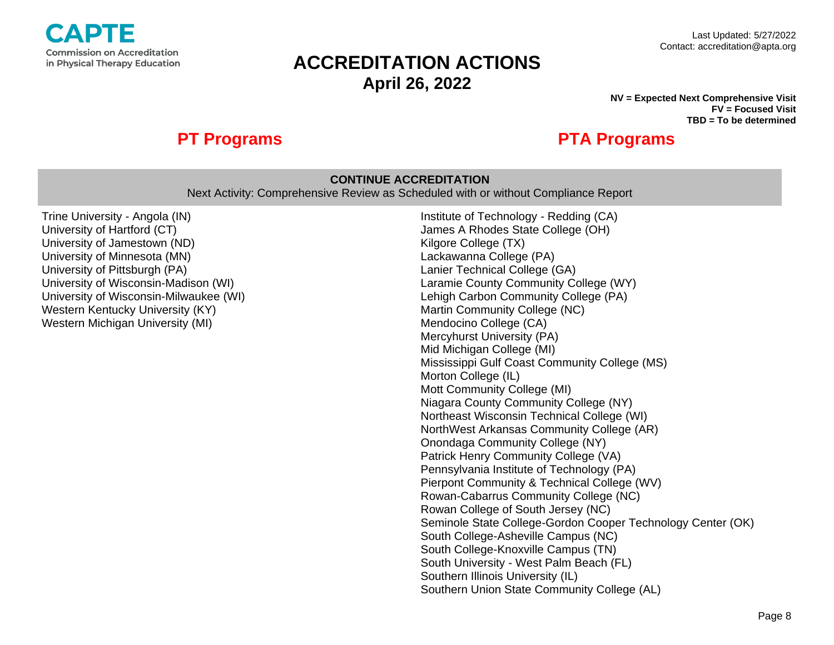

#### **NV = Expected Next Comprehensive Visit FV = Focused Visit TBD = To be determined**

## **PT Programs PTA Programs**

### **CONTINUE ACCREDITATION**

Next Activity: Comprehensive Review as Scheduled with or without Compliance Report

Trine University - Angola (IN) University of Hartford (CT) University of Jamestown (ND) University of Minnesota (MN) University of Pittsburgh (PA) University of Wisconsin-Madison (WI) University of Wisconsin-Milwaukee (WI) Western Kentucky University (KY) Western Michigan University (MI)

Institute of Technology - Redding (CA) James A Rhodes State College (OH) Kilgore College (TX) Lackawanna College (PA) Lanier Technical College (GA) Laramie County Community College (WY) Lehigh Carbon Community College (PA) Martin Community College (NC) Mendocino College (CA) Mercyhurst University (PA) Mid Michigan College (MI) Mississippi Gulf Coast Community College (MS) Morton College (IL) Mott Community College (MI) Niagara County Community College (NY) Northeast Wisconsin Technical College (WI) NorthWest Arkansas Community College (AR) Onondaga Community College (NY) Patrick Henry Community College (VA) Pennsylvania Institute of Technology (PA) Pierpont Community & Technical College (WV) Rowan-Cabarrus Community College (NC) Rowan College of South Jersey (NC) Seminole State College-Gordon Cooper Technology Center (OK) South College-Asheville Campus (NC) South College-Knoxville Campus (TN) South University - West Palm Beach (FL) Southern Illinois University (IL) Southern Union State Community College (AL)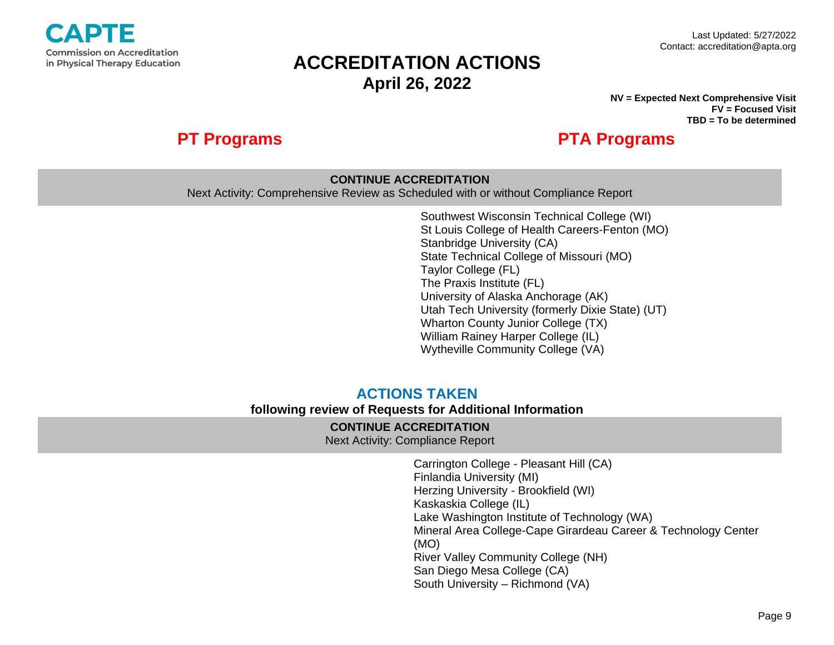

**NV = Expected Next Comprehensive Visit FV = Focused Visit TBD = To be determined**

## **PT Programs PTA Programs**

### **CONTINUE ACCREDITATION**

Next Activity: Comprehensive Review as Scheduled with or without Compliance Report

Southwest Wisconsin Technical College (WI) St Louis College of Health Careers-Fenton (MO) Stanbridge University (CA) State Technical College of Missouri (MO) Taylor College (FL) The Praxis Institute (FL) University of Alaska Anchorage (AK) Utah Tech University (formerly Dixie State) (UT) Wharton County Junior College (TX) William Rainey Harper College (IL) Wytheville Community College (VA)

## **ACTIONS TAKEN**

### **following review of Requests for Additional Information**

### **CONTINUE ACCREDITATION**

Next Activity: Compliance Report

Carrington College - Pleasant Hill (CA) Finlandia University (MI) Herzing University - Brookfield (WI) Kaskaskia College (IL) Lake Washington Institute of Technology (WA) Mineral Area College-Cape Girardeau Career & Technology Center (MO) River Valley Community College (NH) San Diego Mesa College (CA) South University – Richmond (VA)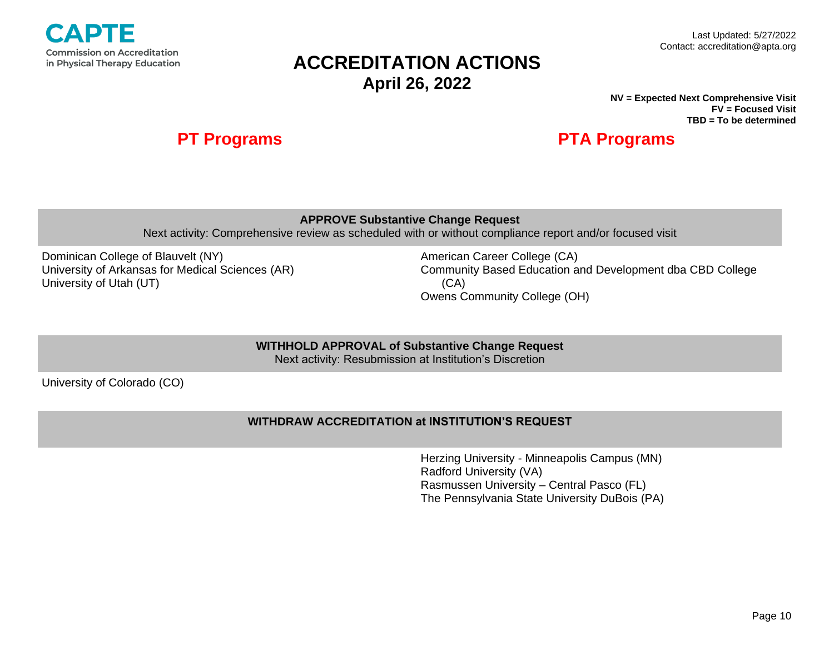

#### Last Updated: 5/27/2022 Contact: accreditation@apta.org

# **ACCREDITATION ACTIONS April 26, 2022**

**NV = Expected Next Comprehensive Visit FV = Focused Visit TBD = To be determined**

## **PT Programs PTA Programs**

**APPROVE Substantive Change Request**

Next activity: Comprehensive review as scheduled with or without compliance report and/or focused visit

Dominican College of Blauvelt (NY) University of Arkansas for Medical Sciences (AR) University of Utah (UT)

American Career College (CA) Community Based Education and Development dba CBD College (CA) Owens Community College (OH)

**WITHHOLD APPROVAL of Substantive Change Request**

Next activity: Resubmission at Institution's Discretion

University of Colorado (CO)

### **WITHDRAW ACCREDITATION at INSTITUTION'S REQUEST**

Herzing University - Minneapolis Campus (MN) Radford University (VA) Rasmussen University – Central Pasco (FL) The Pennsylvania State University DuBois (PA)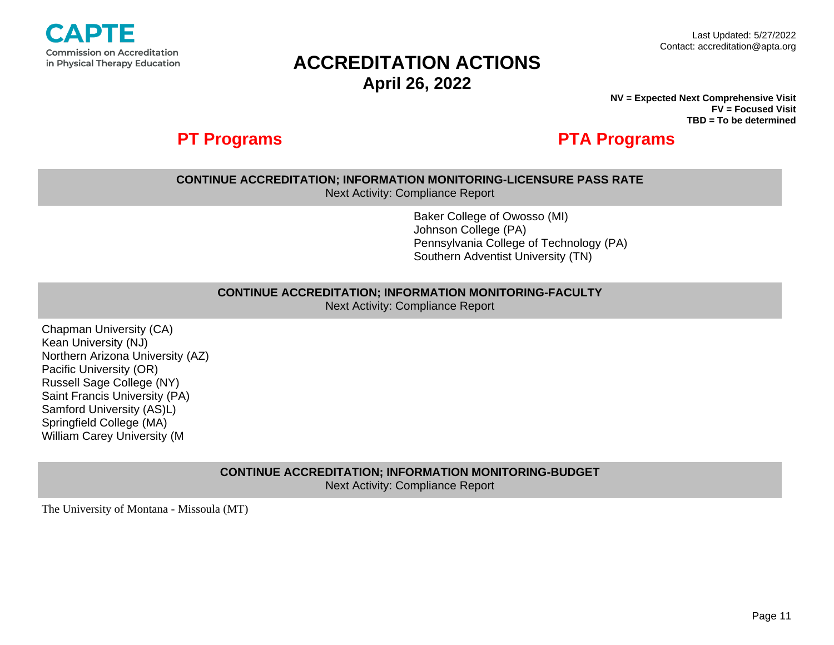

**NV = Expected Next Comprehensive Visit FV = Focused Visit TBD = To be determined**

## **PT Programs PTA Programs**

## **CONTINUE ACCREDITATION; INFORMATION MONITORING-LICENSURE PASS RATE**

Next Activity: Compliance Report

Baker College of Owosso (MI) Johnson College (PA) Pennsylvania College of Technology (PA) Southern Adventist University (TN)

#### **CONTINUE ACCREDITATION; INFORMATION MONITORING-FACULTY**

Next Activity: Compliance Report

Chapman University (CA) Kean University (NJ) Northern Arizona University (AZ) Pacific University (OR) Russell Sage College (NY) Saint Francis University (PA) Samford University (AS)L) Springfield College (MA) William Carey University (M

> **CONTINUE ACCREDITATION; INFORMATION MONITORING-BUDGET** Next Activity: Compliance Report

The University of Montana - Missoula (MT)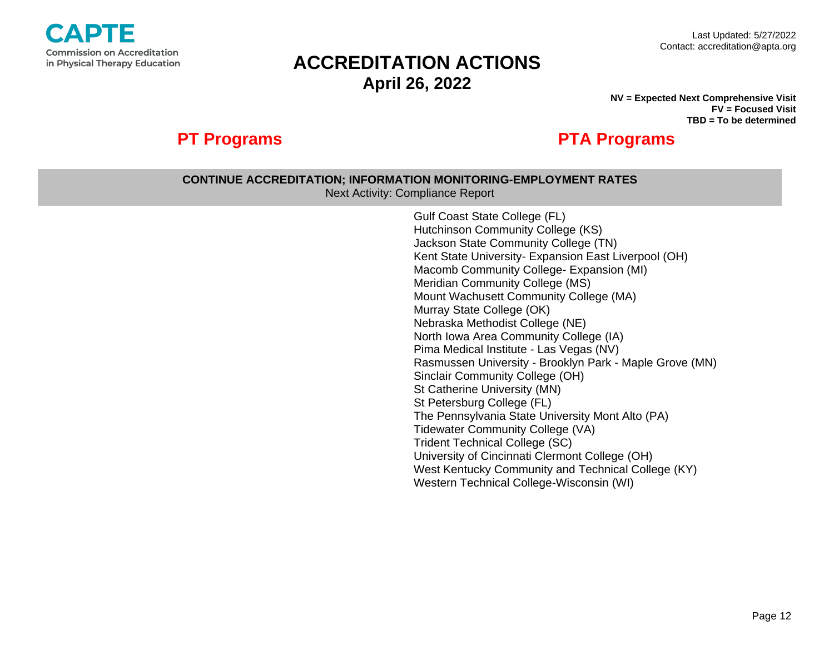

**NV = Expected Next Comprehensive Visit FV = Focused Visit TBD = To be determined**

# **PT Programs PTA Programs**

### **CONTINUE ACCREDITATION; INFORMATION MONITORING-EMPLOYMENT RATES** Next Activity: Compliance Report Gulf Coast State College (FL) Hutchinson Community College (KS) Jackson State Community College (TN) Kent State University- Expansion East Liverpool (OH) Macomb Community College- Expansion (MI) Meridian Community College (MS) Mount Wachusett Community College (MA) Murray State College (OK) Nebraska Methodist College (NE) North Iowa Area Community College (IA) Pima Medical Institute - Las Vegas (NV) Rasmussen University - Brooklyn Park - Maple Grove (MN) Sinclair Community College (OH) St Catherine University (MN) St Petersburg College (FL) The Pennsylvania State University Mont Alto (PA)

Tidewater Community College (VA) Trident Technical College (SC)

University of Cincinnati Clermont College (OH)

Western Technical College-Wisconsin (WI)

West Kentucky Community and Technical College (KY)

Page 12